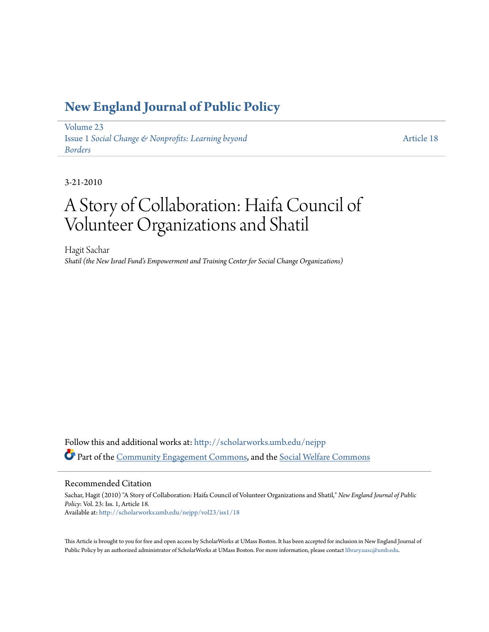### **[New England Journal of Public Policy](http://scholarworks.umb.edu/nejpp?utm_source=scholarworks.umb.edu%2Fnejpp%2Fvol23%2Fiss1%2F18&utm_medium=PDF&utm_campaign=PDFCoverPages)**

[Volume 23](http://scholarworks.umb.edu/nejpp/vol23?utm_source=scholarworks.umb.edu%2Fnejpp%2Fvol23%2Fiss1%2F18&utm_medium=PDF&utm_campaign=PDFCoverPages) Issue 1 *[Social Change & Nonprofits: Learning beyond](http://scholarworks.umb.edu/nejpp/vol23/iss1?utm_source=scholarworks.umb.edu%2Fnejpp%2Fvol23%2Fiss1%2F18&utm_medium=PDF&utm_campaign=PDFCoverPages) [Borders](http://scholarworks.umb.edu/nejpp/vol23/iss1?utm_source=scholarworks.umb.edu%2Fnejpp%2Fvol23%2Fiss1%2F18&utm_medium=PDF&utm_campaign=PDFCoverPages)*

[Article 18](http://scholarworks.umb.edu/nejpp/vol23/iss1/18?utm_source=scholarworks.umb.edu%2Fnejpp%2Fvol23%2Fiss1%2F18&utm_medium=PDF&utm_campaign=PDFCoverPages)

3-21-2010

# A Story of Collaboration: Haifa Council of Volunteer Organizations and Shatil

Hagit Sachar *Shatil (the New Israel Fund's Empowerment and Training Center for Social Change Organizations)*

Follow this and additional works at: [http://scholarworks.umb.edu/nejpp](http://scholarworks.umb.edu/nejpp?utm_source=scholarworks.umb.edu%2Fnejpp%2Fvol23%2Fiss1%2F18&utm_medium=PDF&utm_campaign=PDFCoverPages) Part of the [Community Engagement Commons](http://network.bepress.com/hgg/discipline/1028?utm_source=scholarworks.umb.edu%2Fnejpp%2Fvol23%2Fiss1%2F18&utm_medium=PDF&utm_campaign=PDFCoverPages), and the [Social Welfare Commons](http://network.bepress.com/hgg/discipline/401?utm_source=scholarworks.umb.edu%2Fnejpp%2Fvol23%2Fiss1%2F18&utm_medium=PDF&utm_campaign=PDFCoverPages)

#### Recommended Citation

Sachar, Hagit (2010) "A Story of Collaboration: Haifa Council of Volunteer Organizations and Shatil," *New England Journal of Public Policy*: Vol. 23: Iss. 1, Article 18. Available at: [http://scholarworks.umb.edu/nejpp/vol23/iss1/18](http://scholarworks.umb.edu/nejpp/vol23/iss1/18?utm_source=scholarworks.umb.edu%2Fnejpp%2Fvol23%2Fiss1%2F18&utm_medium=PDF&utm_campaign=PDFCoverPages)

This Article is brought to you for free and open access by ScholarWorks at UMass Boston. It has been accepted for inclusion in New England Journal of Public Policy by an authorized administrator of ScholarWorks at UMass Boston. For more information, please contact [library.uasc@umb.edu](mailto:library.uasc@umb.edu).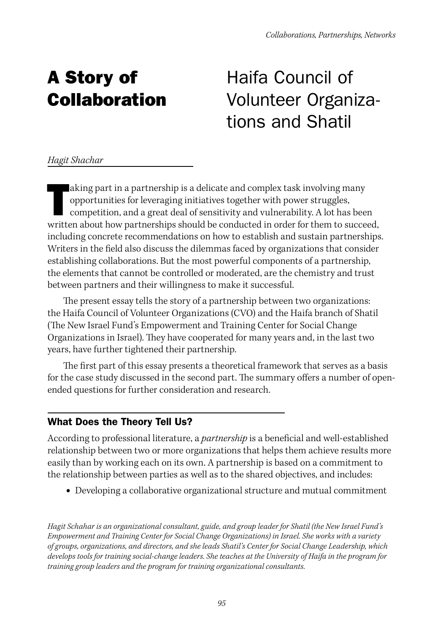# A Story of Collaboration

# Haifa Council of Volunteer Organizations and Shatil

#### *Hagit Shachar*

aking part in a partnership is a delicate and complex task involving many opportunities for leveraging initiatives together with power struggles, competition, and a great deal of sensitivity and vulnerability. A lot has be aking part in a partnership is a delicate and complex task involving many opportunities for leveraging initiatives together with power struggles, competition, and a great deal of sensitivity and vulnerability. A lot has been including concrete recommendations on how to establish and sustain partnerships. Writers in the field also discuss the dilemmas faced by organizations that consider establishing collaborations. But the most powerful components of a partnership, the elements that cannot be controlled or moderated, are the chemistry and trust between partners and their willingness to make it successful.

The present essay tells the story of a partnership between two organizations: the Haifa Council of Volunteer Organizations (CVO) and the Haifa branch of Shatil (The New Israel Fund's Empowerment and Training Center for Social Change Organizations in Israel). They have cooperated for many years and, in the last two years, have further tightened their partnership.

The first part of this essay presents a theoretical framework that serves as a basis for the case study discussed in the second part. The summary offers a number of openended questions for further consideration and research.

### What Does the Theory Tell Us?

According to professional literature, a *partnership* is a beneficial and well-established relationship between two or more organizations that helps them achieve results more easily than by working each on its own. A partnership is based on a commitment to the relationship between parties as well as to the shared objectives, and includes:

**•** Developing a collaborative organizational structure and mutual commitment

*Hagit Schahar is an organizational consultant, guide, and group leader for Shatil (the New Israel Fund's Empowerment and Training Center for Social Change Organizations) in Israel. She works with a variety of groups, organizations, and directors, and she leads Shatil's Center for Social Change Leadership, which develops tools for training social-change leaders. She teaches at the University of Haifa in the program for training group leaders and the program for training organizational consultants.*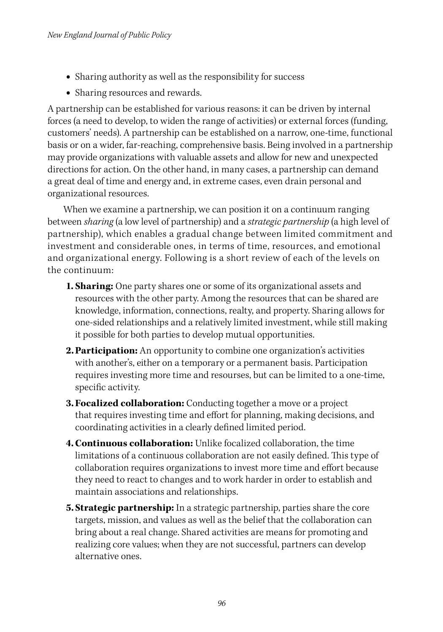- **•** Sharing authority as well as the responsibility for success
- **•** Sharing resources and rewards.

A partnership can be established for various reasons: it can be driven by internal forces (a need to develop, to widen the range of activities) or external forces (funding, customers' needs). A partnership can be established on a narrow, one-time, functional basis or on a wider, far-reaching, comprehensive basis. Being involved in a partnership may provide organizations with valuable assets and allow for new and unexpected directions for action. On the other hand, in many cases, a partnership can demand a great deal of time and energy and, in extreme cases, even drain personal and organizational resources.

When we examine a partnership, we can position it on a continuum ranging between *sharing* (a low level of partnership) and a *strategic partnership* (a high level of partnership), which enables a gradual change between limited commitment and investment and considerable ones, in terms of time, resources, and emotional and organizational energy. Following is a short review of each of the levels on the continuum:

- **1. Sharing:** One party shares one or some of its organizational assets and resources with the other party. Among the resources that can be shared are knowledge, information, connections, realty, and property. Sharing allows for one-sided relationships and a relatively limited investment, while still making it possible for both parties to develop mutual opportunities.
- **2.Participation:** An opportunity to combine one organization's activities with another's, either on a temporary or a permanent basis. Participation requires investing more time and resourses, but can be limited to a one-time, specific activity.
- **3.Focalized collaboration:** Conducting together a move or a project that requires investing time and effort for planning, making decisions, and coordinating activities in a clearly defined limited period.
- **4.Continuous collaboration:** Unlike focalized collaboration, the time limitations of a continuous collaboration are not easily defined. This type of collaboration requires organizations to invest more time and effort because they need to react to changes and to work harder in order to establish and maintain associations and relationships.
- **5. Strategic partnership:** In a strategic partnership, parties share the core targets, mission, and values as well as the belief that the collaboration can bring about a real change. Shared activities are means for promoting and realizing core values; when they are not successful, partners can develop alternative ones.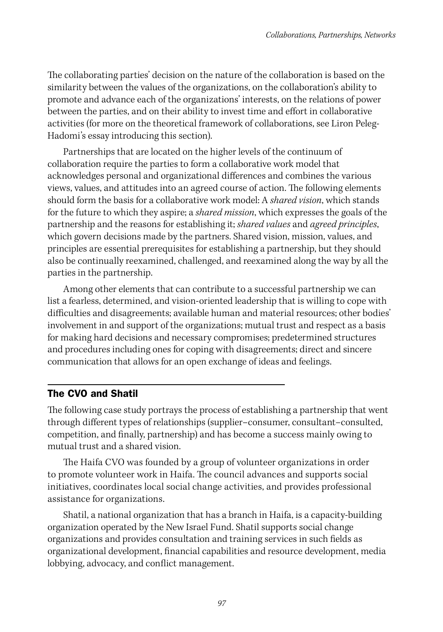The collaborating parties' decision on the nature of the collaboration is based on the similarity between the values of the organizations, on the collaboration's ability to promote and advance each of the organizations' interests, on the relations of power between the parties, and on their ability to invest time and effort in collaborative activities (for more on the theoretical framework of collaborations, see Liron Peleg-Hadomi's essay introducing this section).

Partnerships that are located on the higher levels of the continuum of collaboration require the parties to form a collaborative work model that acknowledges personal and organizational differences and combines the various views, values, and attitudes into an agreed course of action. The following elements should form the basis for a collaborative work model: A *shared vision*, which stands for the future to which they aspire; a *shared mission*, which expresses the goals of the partnership and the reasons for establishing it; *shared values* and *agreed principles*, which govern decisions made by the partners. Shared vision, mission, values, and principles are essential prerequisites for establishing a partnership, but they should also be continually reexamined, challenged, and reexamined along the way by all the parties in the partnership.

Among other elements that can contribute to a successful partnership we can list a fearless, determined, and vision-oriented leadership that is willing to cope with difficulties and disagreements; available human and material resources; other bodies' involvement in and support of the organizations; mutual trust and respect as a basis for making hard decisions and necessary compromises; predetermined structures and procedures including ones for coping with disagreements; direct and sincere communication that allows for an open exchange of ideas and feelings.

### The CVO and Shatil

The following case study portrays the process of establishing a partnership that went through different types of relationships (supplier–consumer, consultant–consulted, competition, and finally, partnership) and has become a success mainly owing to mutual trust and a shared vision.

The Haifa CVO was founded by a group of volunteer organizations in order to promote volunteer work in Haifa. The council advances and supports social initiatives, coordinates local social change activities, and provides professional assistance for organizations.

Shatil, a national organization that has a branch in Haifa, is a capacity-building organization operated by the New Israel Fund. Shatil supports social change organizations and provides consultation and training services in such fields as organizational development, financial capabilities and resource development, media lobbying, advocacy, and conflict management.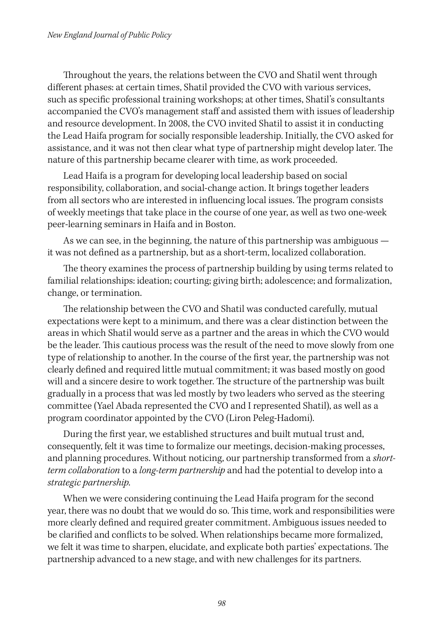Throughout the years, the relations between the CVO and Shatil went through different phases: at certain times, Shatil provided the CVO with various services, such as specific professional training workshops; at other times, Shatil's consultants accompanied the CVO's management staff and assisted them with issues of leadership and resource development. In 2008, the CVO invited Shatil to assist it in conducting the Lead Haifa program for socially responsible leadership. Initially, the CVO asked for assistance, and it was not then clear what type of partnership might develop later. The nature of this partnership became clearer with time, as work proceeded.

Lead Haifa is a program for developing local leadership based on social responsibility, collaboration, and social-change action. It brings together leaders from all sectors who are interested in influencing local issues. The program consists of weekly meetings that take place in the course of one year, as well as two one-week peer-learning seminars in Haifa and in Boston.

As we can see, in the beginning, the nature of this partnership was ambiguous it was not defined as a partnership, but as a short-term, localized collaboration.

The theory examines the process of partnership building by using terms related to familial relationships: ideation; courting; giving birth; adolescence; and formalization, change, or termination.

The relationship between the CVO and Shatil was conducted carefully, mutual expectations were kept to a minimum, and there was a clear distinction between the areas in which Shatil would serve as a partner and the areas in which the CVO would be the leader. This cautious process was the result of the need to move slowly from one type of relationship to another. In the course of the first year, the partnership was not clearly defined and required little mutual commitment; it was based mostly on good will and a sincere desire to work together. The structure of the partnership was built gradually in a process that was led mostly by two leaders who served as the steering committee (Yael Abada represented the CVO and I represented Shatil), as well as a program coordinator appointed by the CVO (Liron Peleg-Hadomi).

During the first year, we established structures and built mutual trust and, consequently, felt it was time to formalize our meetings, decision-making processes, and planning procedures. Without noticing, our partnership transformed from a *shortterm collaboration* to a *long-term partnership* and had the potential to develop into a *strategic partnership*.

When we were considering continuing the Lead Haifa program for the second year, there was no doubt that we would do so. This time, work and responsibilities were more clearly defined and required greater commitment. Ambiguous issues needed to be clarified and conflicts to be solved. When relationships became more formalized, we felt it was time to sharpen, elucidate, and explicate both parties' expectations. The partnership advanced to a new stage, and with new challenges for its partners.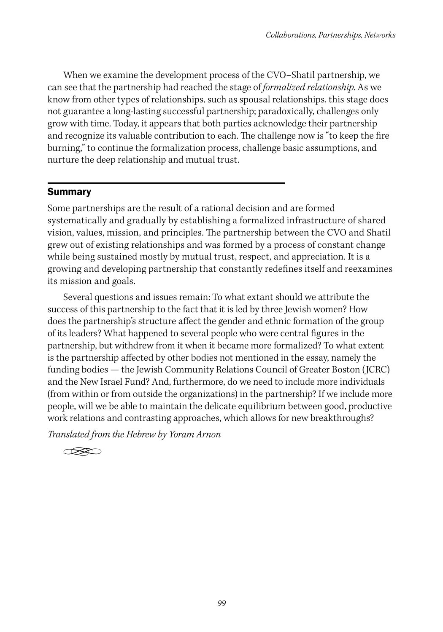When we examine the development process of the CVO–Shatil partnership, we can see that the partnership had reached the stage of *formalized relationship*. As we know from other types of relationships, such as spousal relationships, this stage does not guarantee a long-lasting successful partnership; paradoxically, challenges only grow with time. Today, it appears that both parties acknowledge their partnership and recognize its valuable contribution to each. The challenge now is "to keep the fire burning," to continue the formalization process, challenge basic assumptions, and nurture the deep relationship and mutual trust.

#### Summary

Some partnerships are the result of a rational decision and are formed systematically and gradually by establishing a formalized infrastructure of shared vision, values, mission, and principles. The partnership between the CVO and Shatil grew out of existing relationships and was formed by a process of constant change while being sustained mostly by mutual trust, respect, and appreciation. It is a growing and developing partnership that constantly redefines itself and reexamines its mission and goals.

Several questions and issues remain: To what extant should we attribute the success of this partnership to the fact that it is led by three Jewish women? How does the partnership's structure affect the gender and ethnic formation of the group of its leaders? What happened to several people who were central figures in the partnership, but withdrew from it when it became more formalized? To what extent is the partnership affected by other bodies not mentioned in the essay, namely the funding bodies — the Jewish Community Relations Council of Greater Boston (JCRC) and the New Israel Fund? And, furthermore, do we need to include more individuals (from within or from outside the organizations) in the partnership? If we include more people, will we be able to maintain the delicate equilibrium between good, productive work relations and contrasting approaches, which allows for new breakthroughs?

*Translated from the Hebrew by Yoram Arnon*

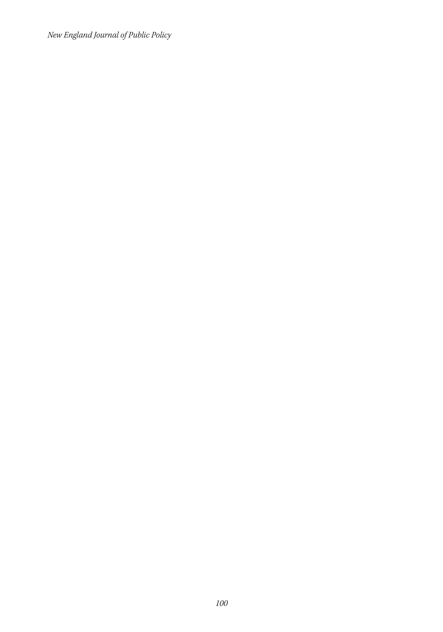*New England Journal of Public Policy*